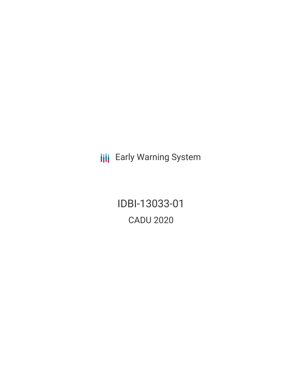**III** Early Warning System

IDBI-13033-01 CADU 2020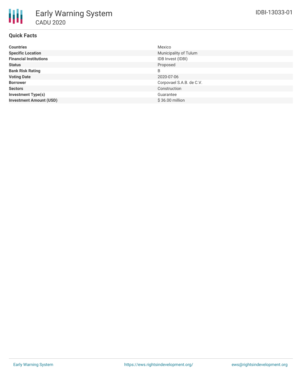# **Quick Facts**

| <b>Countries</b>               | Mexico                   |
|--------------------------------|--------------------------|
| <b>Specific Location</b>       | Municipality of Tulum    |
| <b>Financial Institutions</b>  | IDB Invest (IDBI)        |
| Status                         | Proposed                 |
| <b>Bank Risk Rating</b>        | B                        |
| <b>Voting Date</b>             | 2020-07-06               |
| <b>Borrower</b>                | Corpovael S.A.B. de C.V. |
| <b>Sectors</b>                 | Construction             |
| <b>Investment Type(s)</b>      | Guarantee                |
| <b>Investment Amount (USD)</b> | \$36.00 million          |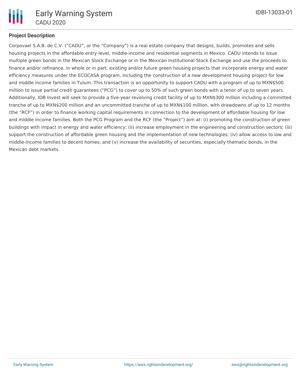

#### **Project Description**

Corpovael S.A.B. de C.V. ("CADU", or the "Company") is a real estate company that designs, builds, promotes and sells housing projects in the affordable entry-level, middle-income and residential segments in Mexico. CADU intends to issue multiple green bonds in the Mexican Stock Exchange or in the Mexican Institutional Stock Exchange and use the proceeds to finance and/or refinance, in whole or in part, existing and/or future green housing projects that incorporate energy and water efficiency measures under the ECOCASA program, including the construction of a new development housing project for low and middle income families in Tulum. This transaction is an opportunity to support CADU with a program of up to MXN\$500 million to issue partial credit guarantees ("PCG") to cover up to 50% of such green bonds with a tenor of up to seven years. Additionally, IDB Invest will seek to provide a five-year revolving credit facility of up to MXN\$300 million including a committed tranche of up to MXN\$200 million and an uncommitted tranche of up to MXN\$100 million, with drawdowns of up to 12 months (the "RCF") in order to finance working capital requirements in connection to the development of affordable housing for low and middle income families. Both the PCG Program and the RCF (the "Project") aim at: (i) promoting the construction of green buildings with impact in energy and water efficiency; (ii) increase employment in the engineering and construction sectors; (iii) support the construction of affordable green housing and the implementation of new technologies; (iv) allow access to low and middle-income families to decent homes; and (v) increase the availability of securities, especially thematic bonds, in the Mexican debt markets.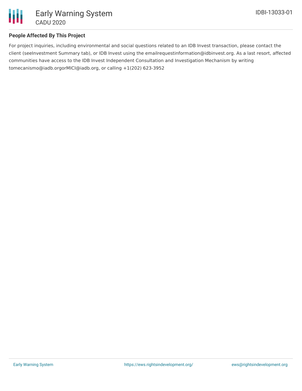

#### **People Affected By This Project**

For project inquiries, including environmental and social questions related to an IDB Invest transaction, please contact the client (seeInvestment Summary tab), or IDB Invest using the emailrequestinformation@idbinvest.org. As a last resort, affected communities have access to the IDB Invest Independent Consultation and Investigation Mechanism by writing tomecanismo@iadb.orgorMICI@iadb.org, or calling +1(202) 623-3952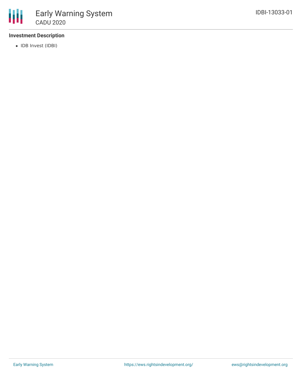

### **Investment Description**

• IDB Invest (IDBI)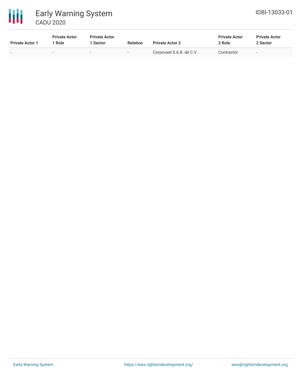

| <b>Private Actor 1</b> | <b>Private Actor</b><br>' Role | <b>Private Actor</b><br><b>Sector</b> | <b>Relation</b>          | <b>Private Actor 2</b>   | <b>Private Actor</b><br>2 Role | <b>Private Actor</b><br>2 Sector |
|------------------------|--------------------------------|---------------------------------------|--------------------------|--------------------------|--------------------------------|----------------------------------|
| $\sim$                 | $\sim$                         | $\sim$                                | $\overline{\phantom{a}}$ | Corpovael S.A.B. de C.V. | Contractor                     | $\overline{\phantom{a}}$         |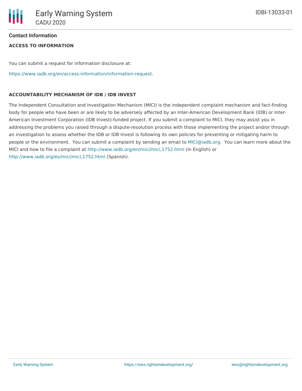### **Contact Information**

# **ACCESS TO INFORMATION**

You can submit a request for information disclosure at:

[https://www.iadb.org/en/access-information/information-request.](https://www.iadb.org/en/access-information/information-request)

## **ACCOUNTABILITY MECHANISM OF IDB / IDB INVEST**

The Independent Consultation and Investigation Mechanism (MICI) is the independent complaint mechanism and fact-finding body for people who have been or are likely to be adversely affected by an Inter-American Development Bank (IDB) or Inter-American Investment Corporation (IDB Invest)-funded project. If you submit a complaint to MICI, they may assist you in addressing the problems you raised through a dispute-resolution process with those implementing the project and/or through an investigation to assess whether the IDB or IDB Invest is following its own policies for preventing or mitigating harm to people or the environment. You can submit a complaint by sending an email to [MICI@iadb.org](mailto:MICI@iadb.org). You can learn more about the MICI and how to file a complaint at <http://www.iadb.org/en/mici/mici,1752.html> (in English) or <http://www.iadb.org/es/mici/mici,1752.html> (Spanish).